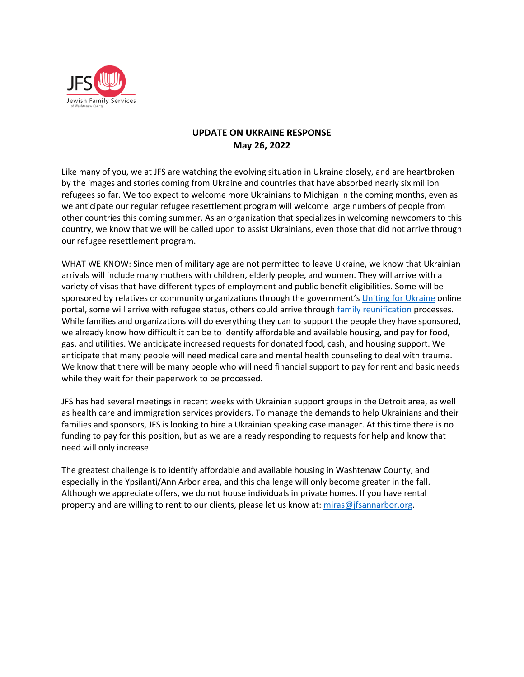

# **UPDATE ON UKRAINE RESPONSE May 26, 2022**

Like many of you, we at JFS are watching the evolving situation in Ukraine closely, and are heartbroken by the images and stories coming from Ukraine and countries that have absorbed nearly six million refugees so far. We too expect to welcome more Ukrainians to Michigan in the coming months, even as we anticipate our regular refugee resettlement program will welcome large numbers of people from other countries this coming summer. As an organization that specializes in welcoming newcomers to this country, we know that we will be called upon to assist Ukrainians, even those that did not arrive through our refugee resettlement program.

WHAT WE KNOW: Since men of military age are not permitted to leave Ukraine, we know that Ukrainian arrivals will include many mothers with children, elderly people, and women. They will arrive with a variety of visas that have different types of employment and public benefit eligibilities. Some will be sponsored by relatives or community organizations through the government's [Uniting for Ukraine](https://www.uscis.gov/ukraine) online portal, some will arrive with refugee status, others could arrive through [family reunification](https://www.uscis.gov/family) processes. While families and organizations will do everything they can to support the people they have sponsored, we already know how difficult it can be to identify affordable and available housing, and pay for food, gas, and utilities. We anticipate increased requests for donated food, cash, and housing support. We anticipate that many people will need medical care and mental health counseling to deal with trauma. We know that there will be many people who will need financial support to pay for rent and basic needs while they wait for their paperwork to be processed.

JFS has had several meetings in recent weeks with Ukrainian support groups in the Detroit area, as well as health care and immigration services providers. To manage the demands to help Ukrainians and their families and sponsors, JFS is looking to hire a Ukrainian speaking case manager. At this time there is no funding to pay for this position, but as we are already responding to requests for help and know that need will only increase.

The greatest challenge is to identify affordable and available housing in Washtenaw County, and especially in the Ypsilanti/Ann Arbor area, and this challenge will only become greater in the fall. Although we appreciate offers, we do not house individuals in private homes. If you have rental property and are willing to rent to our clients, please let us know at: [miras@jfsannarbor.org.](mailto:miras@jfsannarbor.org)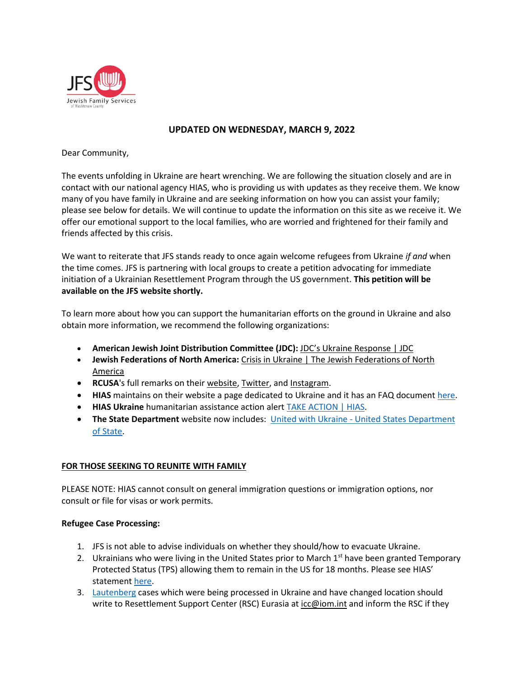

## **UPDATED ON WEDNESDAY, MARCH 9, 2022**

Dear Community,

The events unfolding in Ukraine are heart wrenching. We are following the situation closely and are in contact with our national agency HIAS, who is providing us with updates as they receive them. We know many of you have family in Ukraine and are seeking information on how you can assist your family; please see below for details. We will continue to update the information on this site as we receive it. We offer our emotional support to the local families, who are worried and frightened for their family and friends affected by this crisis.

We want to reiterate that JFS stands ready to once again welcome refugees from Ukraine *if and* when the time comes. JFS is partnering with local groups to create a petition advocating for immediate initiation of a Ukrainian Resettlement Program through the US government. **This petition will be available on the JFS website shortly.**

To learn more about how you can support the humanitarian efforts on the ground in Ukraine and also obtain more information, we recommend the following organizations:

- **American Jewish Joint Distribution Committee (JDC):** [JDC's Ukraine Response | JDC](https://www.jdc.org/disasters/ukraine-response/?utm_campaign=ukraine-response-2022&utm_medium=slideup&utm_source=web)
- **Jewish Federations of North America:** [Crisis in Ukraine | The Jewish Federations of North](https://jewishfederations.org/crisis-in-ukraine2022?utm_source=jfnahome&utm_medium=banner&utm_campaign=Ukraine&utm_id=UkraineCrisis)  [America](https://jewishfederations.org/crisis-in-ukraine2022?utm_source=jfnahome&utm_medium=banner&utm_campaign=Ukraine&utm_id=UkraineCrisis)
- **RCUSA**'s full remarks on their [website,](https://rcusa.org/resources/rcusa-urges-the-international-community-to-stand-with-ukrainians-at-risk-of-displacement-and-those-already-displaced/) [Twitter,](https://twitter.com/RCUSA_DC/status/1497319793329852420) and [Instagram.](https://www.instagram.com/p/CaalAHDFCOv/)
- **HIAS** maintains on their website a page dedicated to Ukraine and it has an FAQ document [here.](https://www.hias.org/sites/default/files/hias_ukraine_faq_-_march_7a.pdf)
- **HIAS Ukraine** humanitarian assistance action alert [TAKE ACTION | HIAS.](https://act.hias.org/page/38723/action/1?utm_medium=email&utm_source=hias.org&utm_campaign=advocacy&utm_content=Tell+Congress:+Include+Humanitarian+Aid+in+the+Budget+Package+for+the+Ukraine+Crisis&ea.url.id=1190386)
- **The State Department** website now includes: United with Ukraine [United States Department](https://www.state.gov/united-with-ukraine/)  [of State.](https://www.state.gov/united-with-ukraine/)

## **FOR THOSE SEEKING TO REUNITE WITH FAMILY**

PLEASE NOTE: HIAS cannot consult on general immigration questions or immigration options, nor consult or file for visas or work permits.

#### **Refugee Case Processing:**

- 1. JFS is not able to advise individuals on whether they should/how to evacuate Ukraine.
- 2. Ukrainians who were living in the United States prior to March  $1<sup>st</sup>$  have been granted Temporary Protected Status (TPS) allowing them to remain in the US for 18 months. Please see HIAS' statemen[t here.](https://www.hias.org/news/press-releases/hias-statement-designation-ukraine-temporary-protected-status)
- 3. [Lautenberg](https://www.hias.org/lautenberg-amendment) cases which were being processed in Ukraine and have changed location should write to Resettlement Support Center (RSC) Eurasia at  $icc@iom.in$ t and inform the RSC if they